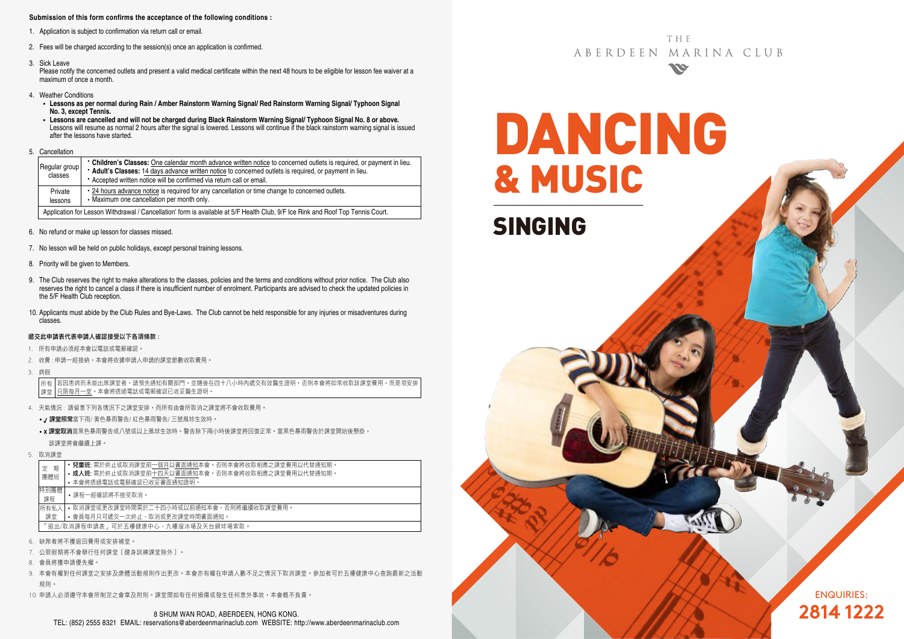#### **Submission of this form confirms the acceptance of the following conditions :**

- 1. Application is subject to confirmation via return call or email.
- 2. Fees will be charged according to the session(s) once an application is confirmed.
- 3. Sick Leave

Please notify the concerned outlets and present a valid medical certificate within the next 48 hours to be eligible for lesson fee waiver at a maximum of once a month.

- 4. Weather Conditions
	- **Lessons as per normal during Rain / Amber Rainstorm Warning Signal/ Red Rainstorm Warning Signal/ Typhoon Signal No. 3, except Tennis.**
	- **Lessons are cancelled and will not be charged during Black Rainstorm Warning Signal/ Typhoon Signal No. 8 or above.** Lessons will resume as normal 2 hours after the signal is lowered. Lessons will continue if the black rainstorm warning signal is issued after the lessons have started.
- 5. Cancellation

|  | Regular group<br>classes                                                                                                        | • Children's Classes: One calendar month advance written notice to concerned outlets is required, or payment in lieu.<br>* Adult's Classes: 14 days advance written notice to concerned outlets is required, or payment in lieu.<br>• Accepted written notice will be confirmed via return call or email. |  |  |  |  |  |  |
|--|---------------------------------------------------------------------------------------------------------------------------------|-----------------------------------------------------------------------------------------------------------------------------------------------------------------------------------------------------------------------------------------------------------------------------------------------------------|--|--|--|--|--|--|
|  | Private<br>lessons                                                                                                              | • 24 hours advance notice is required for any cancellation or time change to concerned outlets.<br>• Maximum one cancellation per month only.                                                                                                                                                             |  |  |  |  |  |  |
|  | Application for Lesson Withdrawal / Cancellation' form is available at 5/F Health Club, 9/F Ice Rink and Roof Top Tennis Court. |                                                                                                                                                                                                                                                                                                           |  |  |  |  |  |  |

- 6. No refund or make up lesson for classes missed.
- 7. No lesson will be held on public holidays, except personal training lessons.
- 8. Priority will be given to Members.
- 9. The Club reserves the right to make alterations to the classes, policies and the terms and conditions without prior notice. The Club also reserves the right to cancel a class if there is insufficient number of enrolment. Participants are advised to check the updated policies in the 5/F Health Club reception.
- 10. Applicants must abide by the Club Rules and Bye-Laws. The Club cannot be held responsible for any injuries or misadventures during classes.

#### 遞交此申請表代表申請人確認接受以下各項條款 :

- 1. 所有申請必須經本會以電話或電郵確認。
- 2. 收費 : 申請一經接納,本會將依據申請人申請的課堂節數收取費用。
- 3. 病假

若因患病而未能出席課堂者,請預先通知有關部門,並隨後在四十八小時內遞交有效醫生證明,否則本會將如常收取該課堂費用,而是項安排 只限每月一堂。本會將透過電話或電郵確認已收妥醫生證明。 所有 課堂

- 4. 天氣情況 : 請留意下列各情況下之課堂安排,而所有由會所取消之課堂將不會收取費用。
	- / 課堂照常當下雨/ 黃色暴雨警告/ 紅色暴雨警告/ 三號風球生效時。
	- x 課堂取消當黑色暴雨警告或八號或以上風球生效時。警告除下兩小時後課堂將回復正常。當黑色暴雨警告於課堂開始後懸掛, 該課堂將會繼續上課。
- 5. 取消課堂

| 期<br>定                              | • 兒童班: 需於終止或取消課堂前一個月以書面通知本會。否則本會將收取相應之課堂費用以代替通知期。 |  |  |  |  |  |  |
|-------------------------------------|---------------------------------------------------|--|--|--|--|--|--|
| 團體班                                 | • 成人班: 需於終止或取消課堂前十四天以書面通知本會。否則本會將收取相應之課堂費用以代替通知期。 |  |  |  |  |  |  |
|                                     | • 本會將诱過電話或電郵確認已收妥書面通知證明。                          |  |  |  |  |  |  |
| 特別團體                                | •課程一經確認將不接受取消。                                    |  |  |  |  |  |  |
| 課程                                  |                                                   |  |  |  |  |  |  |
| 所有私人                                | • 取消課堂或更改課堂時間需於二十四小時或以前通知本會,否則將繼續收取課堂費用。          |  |  |  |  |  |  |
| • 會員每月只可遞交一次終止、取消或更改課堂時間書面通知。<br>課堂 |                                                   |  |  |  |  |  |  |
| 「狠出/取消課程申請表,可於五樓健康中心、九樓溜冰場及天台網球場索取。 |                                                   |  |  |  |  |  |  |
| 缺席者將不獲狠同費用或安排補堂。                    |                                                   |  |  |  |  |  |  |

- 
- 7. 公眾假期將不會舉行任何課堂﹝健身訓練課堂除外﹞。
- 8. 會員將獲申請優先權。
- 9. 本會有權對任何課堂之安排及康體活動規則作出更改。本會亦有權在申請人數不足之情況下取消課堂。參加者可於五樓健康中心查詢最新之活動 規則。
- 10. 申請人必須遵守本會所制定之會章及附則。課堂間如有任何損傷或發生任何意外事故,本會概不負責。

**THF** ABERDEEN MARINA CLUB **SSE** 

DANCING & MUSIC SINGING

> ENQUIRIES: **2814 1222**